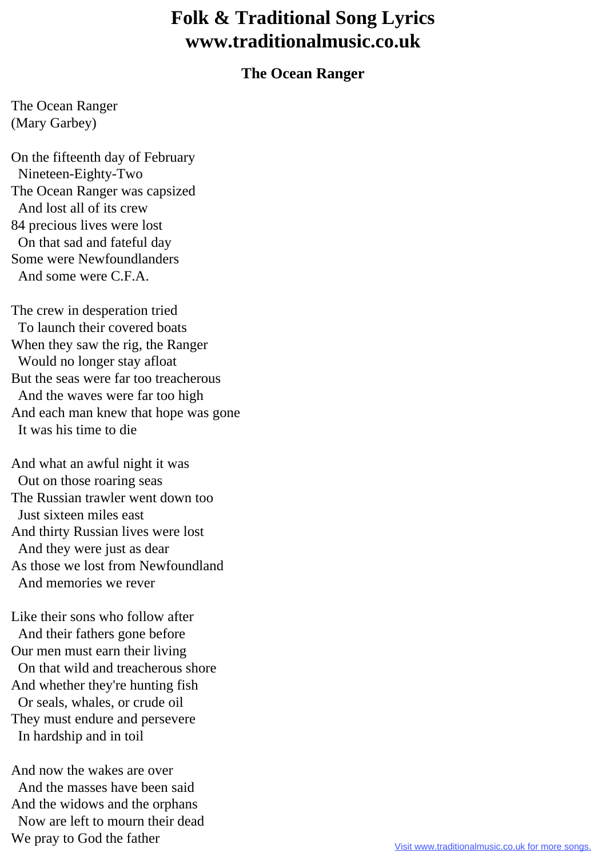## **Folk & Traditional Song Lyrics www.traditionalmusic.co.uk**

## **The Ocean Ranger**

The Ocean Ranger (Mary Garbey)

On the fifteenth day of February Nineteen-Eighty-Two The Ocean Ranger was capsized And lost all of its crew 84 precious lives were lost On that sad and fateful day Some were Newfoundlanders And some were C.F.A.

The crew in desperation tried To launch their covered boats When they saw the rig, the Ranger Would no longer stay afloat But the seas were far too treacherous And the waves were far too high And each man knew that hope was gone It was his time to die

And what an awful night it was Out on those roaring seas The Russian trawler went down too Just sixteen miles east And thirty Russian lives were lost And they were just as dear As those we lost from Newfoundland And memories we rever

Like their sons who follow after And their fathers gone before Our men must earn their living On that wild and treacherous shore And whether they're hunting fish Or seals, whales, or crude oil They must endure and persevere In hardship and in toil

And now the wakes are over And the masses have been said And the widows and the orphans Now are left to mourn their dead We pray to God the father